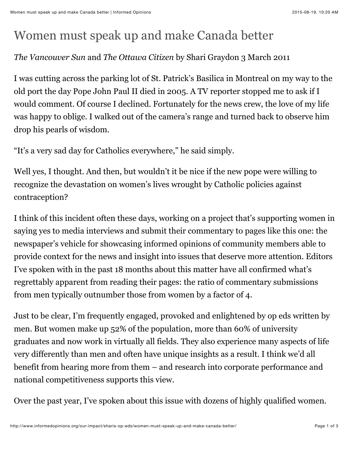## Women must speak up and make Canada better

## *The Vancouver Sun* and *The Ottawa Citizen* by Shari Graydon 3 March 2011

I was cutting across the parking lot of St. Patrick's Basilica in Montreal on my way to the old port the day Pope John Paul II died in 2005. A TV reporter stopped me to ask if I would comment. Of course I declined. Fortunately for the news crew, the love of my life was happy to oblige. I walked out of the camera's range and turned back to observe him drop his pearls of wisdom.

"It's a very sad day for Catholics everywhere," he said simply.

Well yes, I thought. And then, but wouldn't it be nice if the new pope were willing to recognize the devastation on women's lives wrought by Catholic policies against contraception?

I think of this incident often these days, working on a project that's supporting women in saying yes to media interviews and submit their commentary to pages like this one: the newspaper's vehicle for showcasing informed opinions of community members able to provide context for the news and insight into issues that deserve more attention. Editors I've spoken with in the past 18 months about this matter have all confirmed what's regrettably apparent from reading their pages: the ratio of commentary submissions from men typically outnumber those from women by a factor of 4.

Just to be clear, I'm frequently engaged, provoked and enlightened by op eds written by men. But women make up 52% of the population, more than 60% of university graduates and now work in virtually all fields. They also experience many aspects of life very differently than men and often have unique insights as a result. I think we'd all benefit from hearing more from them – and research into corporate performance and national competitiveness supports this view.

Over the past year, I've spoken about this issue with dozens of highly qualified women.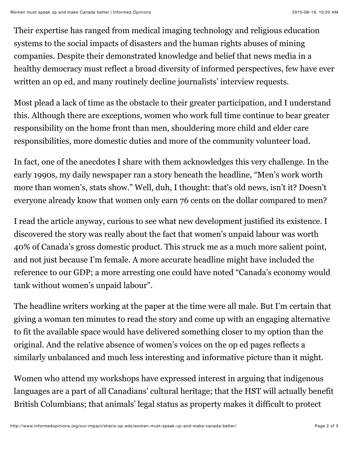Their expertise has ranged from medical imaging technology and religious education systems to the social impacts of disasters and the human rights abuses of mining companies. Despite their demonstrated knowledge and belief that news media in a healthy democracy must reflect a broad diversity of informed perspectives, few have ever written an op ed, and many routinely decline journalists' interview requests.

Most plead a lack of time as the obstacle to their greater participation, and I understand this. Although there are exceptions, women who work full time continue to bear greater responsibility on the home front than men, shouldering more child and elder care responsibilities, more domestic duties and more of the community volunteer load.

In fact, one of the anecdotes I share with them acknowledges this very challenge. In the early 1990s, my daily newspaper ran a story beneath the headline, "Men's work worth more than women's, stats show." Well, duh, I thought: that's old news, isn't it? Doesn't everyone already know that women only earn 76 cents on the dollar compared to men?

I read the article anyway, curious to see what new development justified its existence. I discovered the story was really about the fact that women's unpaid labour was worth 40% of Canada's gross domestic product. This struck me as a much more salient point, and not just because I'm female. A more accurate headline might have included the reference to our GDP; a more arresting one could have noted "Canada's economy would tank without women's unpaid labour".

The headline writers working at the paper at the time were all male. But I'm certain that giving a woman ten minutes to read the story and come up with an engaging alternative to fit the available space would have delivered something closer to my option than the original. And the relative absence of women's voices on the op ed pages reflects a similarly unbalanced and much less interesting and informative picture than it might.

Women who attend my workshops have expressed interest in arguing that indigenous languages are a part of all Canadians' cultural heritage; that the HST will actually benefit British Columbians; that animals' legal status as property makes it difficult to protect